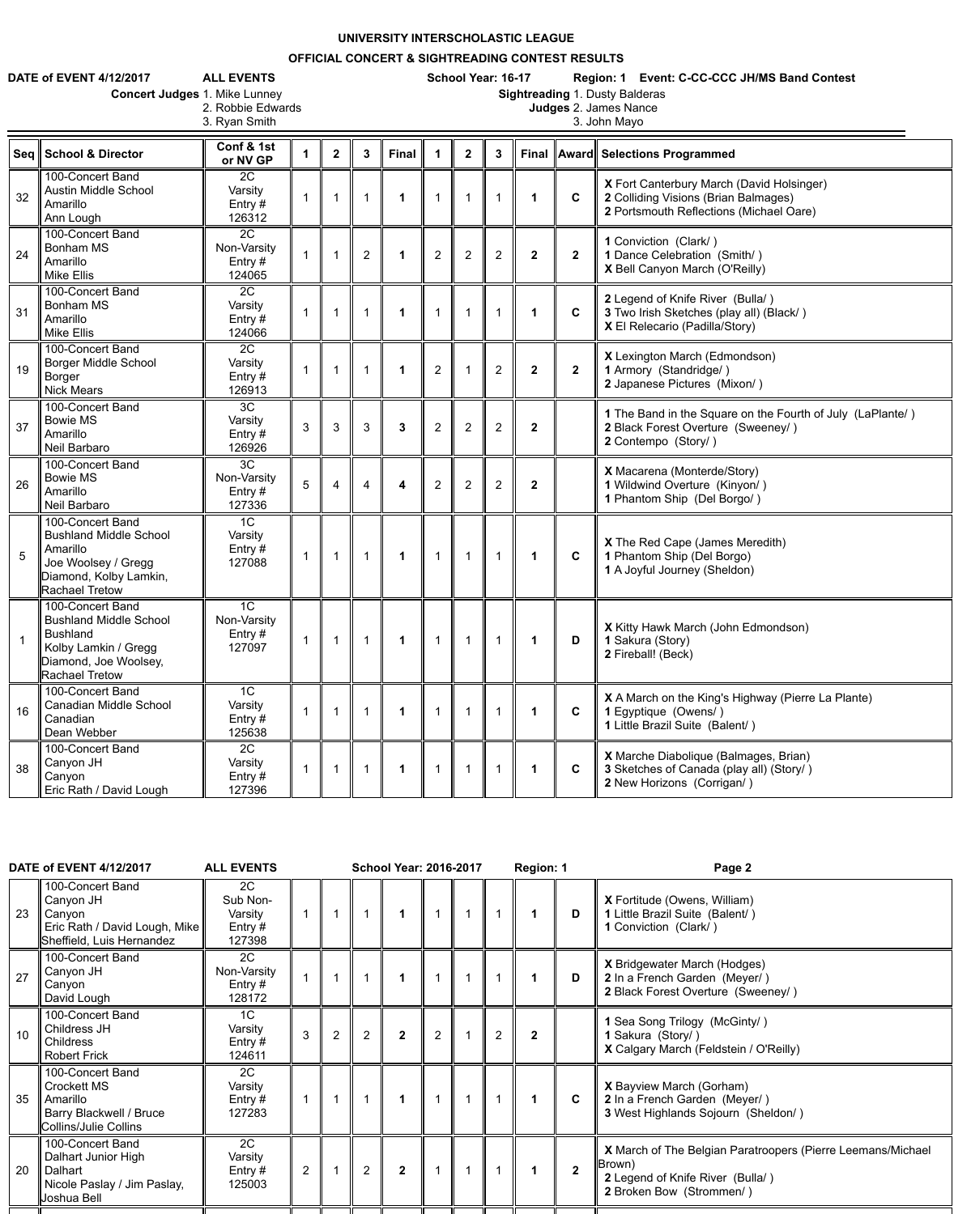## **UNIVERSITY INTERSCHOLASTIC LEAGUE**

## **OFFICIAL CONCERT & SIGHTREADING CONTEST RESULTS**

3. Ryan Smith

**DATE of EVENT 4/12/2017 ALL EVENTS School Year: 16-17 Region: 1 Event: C-CC-CCC JH/MS Band Contest**

**Concert Judges 1. Mike Lunney 2. Robbie Edwards** 

**Sightreading 1. Dusty Balderas<br>Judges 2. James Nance<br>3. John Mayo** 

| <b>Seq</b> | <b>School &amp; Director</b>                                                                                                                   | Conf & 1st<br>or NV GP                               |                | $\mathbf{2}$ | $\mathbf{3}$   | <b>Final</b> |                | $\mathbf{2}$   | 3              |                  |                | Final    Award    Selections Programmed                                                                                      |
|------------|------------------------------------------------------------------------------------------------------------------------------------------------|------------------------------------------------------|----------------|--------------|----------------|--------------|----------------|----------------|----------------|------------------|----------------|------------------------------------------------------------------------------------------------------------------------------|
| 32         | 100-Concert Band<br><b>Austin Middle School</b><br>Amarillo<br>Ann Lough                                                                       | 2C<br>Varsity<br>Entry $#$<br>126312                 |                |              |                |              |                |                |                | $\mathbf 1$      | $\mathbf c$    | X Fort Canterbury March (David Holsinger)<br>2 Colliding Visions (Brian Balmages)<br>2 Portsmouth Reflections (Michael Oare) |
| 24         | 100-Concert Band<br><b>Bonham MS</b><br>Amarillo<br><b>Mike Ellis</b>                                                                          | 2C<br>Non-Varsity<br>Entry $#$<br>124065             |                |              | $\overline{2}$ |              | $\overline{2}$ | $\overline{2}$ | 2              | $\mathbf{2}$     | $\overline{2}$ | 1 Conviction (Clark/)<br>1 Dance Celebration (Smith/)<br>X Bell Canyon March (O'Reilly)                                      |
| 31         | 100-Concert Band<br><b>Bonham MS</b><br>Amarillo<br><b>Mike Ellis</b>                                                                          | 2C<br>Varsity<br>Entry $#$<br>124066                 |                |              |                |              |                |                | -1             | $\mathbf 1$      | $\mathbf c$    | 2 Legend of Knife River (Bulla/)<br>3 Two Irish Sketches (play all) (Black/)<br>X El Relecario (Padilla/Story)               |
| 19         | 100-Concert Band<br><b>Borger Middle School</b><br><b>Borger</b><br><b>Nick Mears</b>                                                          | 2C<br>Varsity<br>Entry $#$<br>126913                 |                |              |                |              | 2              |                | 2              | $\mathbf{2}$     | $\overline{2}$ | X Lexington March (Edmondson)<br>1 Armory (Standridge/)<br>2 Japanese Pictures (Mixon/)                                      |
| 37         | 100-Concert Band<br><b>Bowie MS</b><br>Amarillo<br>Neil Barbaro                                                                                | 3C<br>Varsity<br>Entry #<br>126926                   | $\mathfrak{S}$ | 3            | 3              | $\mathbf{3}$ | $\overline{2}$ | $\overline{2}$ | 2              | $\boldsymbol{2}$ |                | 1 The Band in the Square on the Fourth of July (LaPlante/)<br>2 Black Forest Overture (Sweeney/)<br>2 Contempo (Story/)      |
| 26         | 100-Concert Band<br><b>Bowie MS</b><br>Amarillo<br>Neil Barbaro                                                                                | 3 <sub>C</sub><br>Non-Varsity<br>Entry $#$<br>127336 | 5              | 4            | $\overline{4}$ | 4            | $\overline{2}$ | $\overline{2}$ | $\overline{2}$ | $\mathbf{2}$     |                | X Macarena (Monterde/Story)<br>1 Wildwind Overture (Kinyon/)<br>1 Phantom Ship (Del Borgo/)                                  |
| 5          | 100-Concert Band<br><b>Bushland Middle School</b><br>Amarillo<br>Joe Woolsey / Gregg<br>Diamond, Kolby Lamkin,<br><b>Rachael Tretow</b>        | 1 <sup>C</sup><br>Varsity<br>Entry $#$<br>127088     |                |              |                |              |                |                | $\overline{1}$ | $\mathbf 1$      | $\mathbf c$    | X The Red Cape (James Meredith)<br>1 Phantom Ship (Del Borgo)<br>1 A Joyful Journey (Sheldon)                                |
|            | 100-Concert Band<br><b>Bushland Middle School</b><br><b>Bushland</b><br>Kolby Lamkin / Gregg<br>Diamond, Joe Woolsey,<br><b>Rachael Tretow</b> | 1 <sup>C</sup><br>Non-Varsity<br>Entry $#$<br>127097 |                |              |                |              |                |                |                |                  | D              | X Kitty Hawk March (John Edmondson)<br>1 Sakura (Story)<br>2 Fireball! (Beck)                                                |
| 16         | 100-Concert Band<br>Canadian Middle School<br>Canadian<br>Dean Webber                                                                          | 1 <sup>C</sup><br>Varsity<br>Entry $#$<br>125638     |                |              |                |              |                |                |                | $\mathbf 1$      | $\mathbf{C}$   | <b>X</b> A March on the King's Highway (Pierre La Plante)<br>1 Egyptique (Owens/)<br>1 Little Brazil Suite (Balent/)         |
| 38         | 100-Concert Band<br>Canyon JH<br>Canyon<br>Eric Rath / David Lough                                                                             | 2C<br>Varsity<br>Entry #<br>127396                   |                |              |                |              |                |                |                |                  | $\mathbf c$    | X Marche Diabolique (Balmages, Brian)<br>3 Sketches of Canada (play all) (Story/)<br>2 New Horizons (Corrigan/)              |

| 23 | 100-Concert Band<br>Canyon JH<br>Canyon<br>Eric Rath / David Lough, Mike<br>Sheffield, Luis Hernandez         | 2C<br>Sub Non-<br>Varsity<br>Entry $#$<br>127398 |                |                |                |                |   |                |                | D              | X Fortitude (Owens, William)<br>1 Little Brazil Suite (Balent/)<br>1 Conviction (Clark/)                                              |
|----|---------------------------------------------------------------------------------------------------------------|--------------------------------------------------|----------------|----------------|----------------|----------------|---|----------------|----------------|----------------|---------------------------------------------------------------------------------------------------------------------------------------|
| 27 | 100-Concert Band<br>Canyon JH<br>Canyon<br>David Lough                                                        | 2C<br>Non-Varsity<br>Entry $#$<br>128172         |                |                |                |                |   |                |                | D              | <b>X</b> Bridgewater March (Hodges)<br>2 In a French Garden (Meyer/)<br>2 Black Forest Overture (Sweeney/)                            |
| 10 | 100-Concert Band<br>Childress JH<br><b>Childress</b><br><b>Robert Frick</b>                                   | 1 <sup>C</sup><br>Varsity<br>Entry #<br>124611   | $\mathbf{3}$   | $\overline{2}$ | $\overline{2}$ | $\overline{2}$ | 2 | $\overline{2}$ | $\overline{2}$ |                | 1 Sea Song Trilogy (McGinty/)<br>1 Sakura (Story/)<br><b>X</b> Calgary March (Feldstein / O'Reilly)                                   |
| 35 | 100-Concert Band<br><b>Crockett MS</b><br>Amarillo<br><b>Barry Blackwell / Bruce</b><br>Collins/Julie Collins | 2C<br>Varsity<br>Entry $#$<br>127283             |                |                |                |                |   |                |                | $\mathbf{C}$   | <b>X</b> Bayview March (Gorham)<br>2 In a French Garden (Meyer/)<br>3 West Highlands Sojourn (Sheldon/)                               |
| 20 | 100-Concert Band<br>Dalhart Junior High<br>Dalhart<br>Nicole Paslay / Jim Paslay,<br>Joshua Bell              | 2C<br>Varsity<br>Entry $#$<br>125003             | 2 <sup>1</sup> |                | $\overline{2}$ | $\overline{2}$ |   |                |                | $\overline{2}$ | X March of The Belgian Paratroopers (Pierre Leemans/Michael<br>Brown)<br>2 Legend of Knife River (Bulla/)<br>2 Broken Bow (Strommen/) |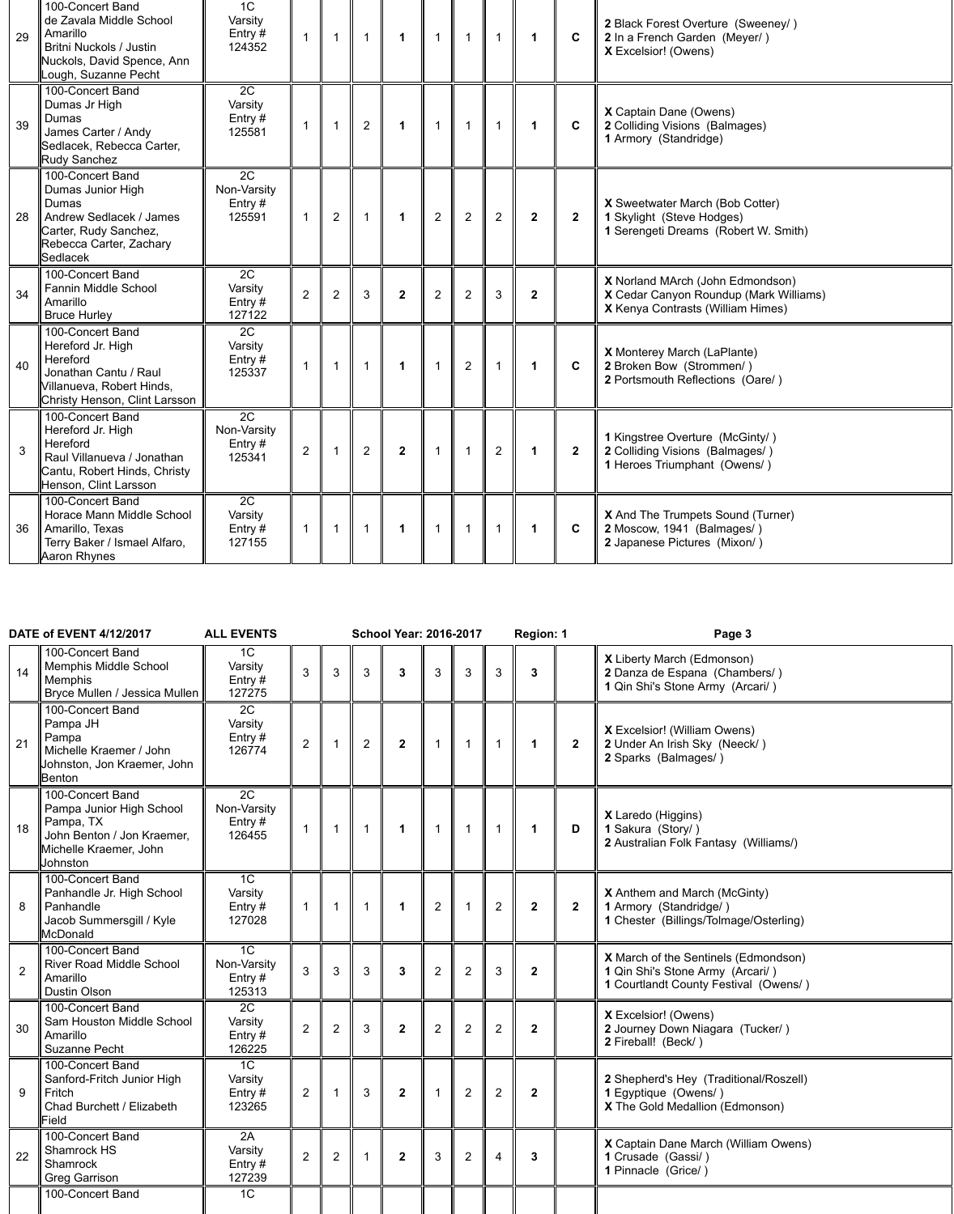| 29 | 100-Concert Band<br>de Zavala Middle School<br>Amarillo<br><b>Britni Nuckols / Justin</b><br>Nuckols, David Spence, Ann<br>Lough, Suzanne Pecht | 1 <sup>C</sup><br>Varsity<br>Entry #<br>124352 |                |                |                | $\blacktriangleleft$ | $\mathbf 1$    |                | $\overline{1}$ |              | $\mathbf{C}$ | 2 Black Forest Overture (Sweeney/)<br>2 In a French Garden (Meyer/)<br><b>X</b> Excelsior! (Owens)                            |
|----|-------------------------------------------------------------------------------------------------------------------------------------------------|------------------------------------------------|----------------|----------------|----------------|----------------------|----------------|----------------|----------------|--------------|--------------|-------------------------------------------------------------------------------------------------------------------------------|
| 39 | 100-Concert Band<br>Dumas Jr High<br>Dumas<br>James Carter / Andy<br>Sedlacek, Rebecca Carter,<br>Rudy Sanchez                                  | 2C<br>Varsity<br>Entry#<br>125581              |                |                | $\overline{2}$ | $\mathbf 1$          | 1              |                | $\mathbf 1$    |              | $\mathbf{C}$ | <b>X</b> Captain Dane (Owens)<br>2 Colliding Visions (Balmages)<br>1 Armory (Standridge)                                      |
| 28 | 100-Concert Band<br>Dumas Junior High<br>Dumas<br>Andrew Sedlacek / James<br>Carter, Rudy Sanchez,<br>Rebecca Carter, Zachary<br>Sedlacek       | 2C<br>Non-Varsity<br>Entry $#$<br>125591       |                | $\overline{2}$ |                |                      | $\overline{2}$ | $\overline{2}$ | $\overline{2}$ | $2^{\circ}$  | $\mathbf{2}$ | <b>X</b> Sweetwater March (Bob Cotter)<br><b>1 Skylight (Steve Hodges)</b><br>1 Serengeti Dreams (Robert W. Smith)            |
| 34 | 100-Concert Band<br><b>Fannin Middle School</b><br>Amarillo<br><b>Bruce Hurley</b>                                                              | 2C<br>Varsity<br>Entry $#$<br>127122           | 2              | $\overline{2}$ | 3              | $\mathbf{2}$         | $\overline{2}$ | $\overline{2}$ | $\mathfrak{S}$ | $\mathbf{2}$ |              | <b>X</b> Norland MArch (John Edmondson)<br>X Cedar Canyon Roundup (Mark Williams)<br><b>X</b> Kenya Contrasts (William Himes) |
| 40 | 100-Concert Band<br>Hereford Jr. High<br>Hereford<br>Jonathan Cantu / Raul<br>Villanueva, Robert Hinds,<br>Christy Henson, Clint Larsson        | 2C<br>Varsity<br>Entry $#$<br>125337           |                |                |                | $\mathbf 1$          | $\mathbf{1}$   | 2              | $\mathbf 1$    |              | $\mathbf{C}$ | X Monterey March (LaPlante)<br>2 Broken Bow (Strommen/)<br>2 Portsmouth Reflections (Oare/)                                   |
| 3  | 100-Concert Band<br>Hereford Jr. High<br>Hereford<br>Raul Villanueva / Jonathan<br>Cantu, Robert Hinds, Christy<br>Henson, Clint Larsson        | 2C<br>Non-Varsity<br>Entry #<br>125341         | $\overline{2}$ |                | $\overline{2}$ | $\overline{2}$       | $\mathbf 1$    |                | 2              |              | $\mathbf{2}$ | 1 Kingstree Overture (McGinty/)<br>2 Colliding Visions (Balmages/)<br>1 Heroes Triumphant (Owens/)                            |
| 36 | 100-Concert Band<br>Horace Mann Middle School<br>Amarillo, Texas<br>Terry Baker / Ismael Alfaro,<br><b>Aaron Rhynes</b>                         | 2C<br>Varsity<br>Entry $#$<br>127155           |                |                |                |                      | 1              |                |                |              | C.           | <b>X</b> And The Trumpets Sound (Turner)<br>2 Moscow, 1941 (Balmages/)<br>2 Japanese Pictures (Mixon/)                        |

|    | <b>DATE of EVENT 4/12/2017</b>                                                                                                             | <b>ALL EVENTS</b>                                  |                |                          |                | <b>School Year: 2016-2017</b> |                |                |                | Region: 1    |              | Page 3                                                                                                            |
|----|--------------------------------------------------------------------------------------------------------------------------------------------|----------------------------------------------------|----------------|--------------------------|----------------|-------------------------------|----------------|----------------|----------------|--------------|--------------|-------------------------------------------------------------------------------------------------------------------|
|    | 100-Concert Band<br>Memphis Middle School<br>14<br><b>Memphis</b><br>Bryce Mullen / Jessica Mullen                                         | 1 <sup>C</sup><br>Varsity<br>Entry#<br>127275      | 3              | 3                        | 3              | $\overline{3}$                | 3              | 3              | 3              | $\mathbf{3}$ |              | X Liberty March (Edmonson)<br>2 Danza de Espana (Chambers/)<br>1 Qin Shi's Stone Army (Arcari/)                   |
| 21 | 100-Concert Band<br>Pampa JH<br>Pampa<br>Michelle Kraemer / John<br>Johnston, Jon Kraemer, John<br>Benton                                  | 2C<br>Varsity<br>Entry #<br>126774                 | $\overline{2}$ | $\overline{\mathbf{1}}$  | 2              | $\overline{2}$                |                |                |                |              | $\mathbf{2}$ | <b>X</b> Excelsior! (William Owens)<br>2 Under An Irish Sky (Neeck/)<br>2 Sparks (Balmages/)                      |
|    | 100-Concert Band<br>Pampa Junior High School<br>Pampa, TX<br>18<br>John Benton / Jon Kraemer,<br>Michelle Kraemer, John<br><b>Johnston</b> | 2C<br>Non-Varsity<br>Entry $#$<br>126455           |                | $\overline{1}$           |                | 1                             |                |                |                | 1            | D            | <b>X</b> Laredo (Higgins)<br>1 Sakura (Story/)<br>2 Australian Folk Fantasy (Williams/)                           |
|    | 100-Concert Band<br>Panhandle Jr. High School<br>8<br>Panhandle<br>Jacob Summersgill / Kyle<br><b>IMcDonald</b>                            | 1C<br>Varsity<br>Entry #<br>127028                 |                | $\overline{\phantom{a}}$ |                | 1                             | $\overline{2}$ |                | $\overline{2}$ | $\mathbf{2}$ | $\mathbf{2}$ | <b>X</b> Anthem and March (McGinty)<br>1 Armory (Standridge/)<br>1 Chester (Billings/Tolmage/Osterling)           |
|    | 100-Concert Band<br><b>River Road Middle School</b><br>$\overline{2}$<br>Amarillo<br><b>Dustin Olson</b>                                   | 1 <sup>C</sup><br>Non-Varsity<br>Entry #<br>125313 | 3              | $\overline{3}$           | 3              | $\overline{3}$                | $\overline{2}$ | $\overline{2}$ | 3              | $\mathbf{2}$ |              | X March of the Sentinels (Edmondson)<br>1 Qin Shi's Stone Army (Arcari/)<br>1 Courtlandt County Festival (Owens/) |
|    | 100-Concert Band<br>Sam Houston Middle School<br>30<br>Amarillo<br><b>Suzanne Pecht</b>                                                    | $\overline{2C}$<br>Varsity<br>Entry #<br>126225    | $\overline{2}$ | $\overline{2}$           | $\mathfrak{S}$ | $\mathbf{2}$                  | $\overline{2}$ | 2              | $\overline{2}$ | $\mathbf{2}$ |              | <b>X</b> Excelsior! (Owens)<br>2 Journey Down Niagara (Tucker/)<br>2 Fireball! (Beck/)                            |
|    | 100-Concert Band<br>Sanford-Fritch Junior High<br>9<br>Fritch<br>Chad Burchett / Elizabeth<br>Field                                        | 1C<br>Varsity<br>Entry#<br>123265                  | $2^{\circ}$    | $\overline{\mathbf{1}}$  | $\mathbf{3}$   | $\overline{2}$                |                | $\overline{2}$ | 2              | $\mathbf{2}$ |              | 2 Shepherd's Hey (Traditional/Roszell)<br>1 Egyptique (Owens/)<br>X The Gold Medallion (Edmonson)                 |
| 22 | 100-Concert Band<br>Shamrock HS<br>Shamrock<br><b>Greg Garrison</b>                                                                        | 2A<br>Varsity<br>Entry #<br>127239                 | $\overline{2}$ | 2                        |                | $\overline{2}$                | 3              | 2              | $\overline{4}$ | $\mathbf{3}$ |              | <b>X</b> Captain Dane March (William Owens)<br>1 Crusade (Gassi/)<br>1 Pinnacle (Grice/)                          |
|    | 100-Concert Band                                                                                                                           | 1 <sup>C</sup>                                     |                |                          |                |                               |                |                |                |              |              |                                                                                                                   |